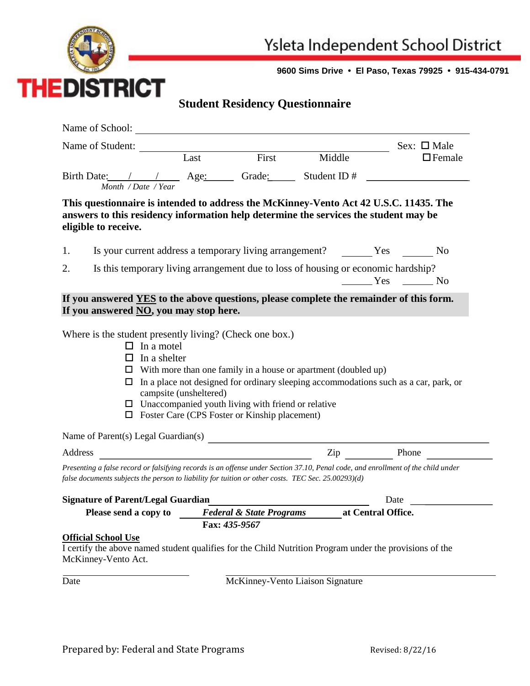

**9600 Sims Drive • El Paso, Texas 79925 • 915-434-0791**

## **Student Residency Questionnaire**

|                                                                                                                                  |                                                                                       |                                         |           | Sex: $\square$ Male |  |  |
|----------------------------------------------------------------------------------------------------------------------------------|---------------------------------------------------------------------------------------|-----------------------------------------|-----------|---------------------|--|--|
| Name of Student: Last First Middle                                                                                               |                                                                                       |                                         |           | $\Box$ Female       |  |  |
| Birth Date: / / Age: Grade: Student ID #                                                                                         |                                                                                       |                                         |           |                     |  |  |
| Month / Date / Year                                                                                                              |                                                                                       |                                         |           |                     |  |  |
|                                                                                                                                  | This questionnaire is intended to address the McKinney-Vento Act 42 U.S.C. 11435. The |                                         |           |                     |  |  |
| answers to this residency information help determine the services the student may be<br>eligible to receive.                     |                                                                                       |                                         |           |                     |  |  |
|                                                                                                                                  |                                                                                       |                                         |           |                     |  |  |
| 1.                                                                                                                               |                                                                                       |                                         |           |                     |  |  |
| Is this temporary living arrangement due to loss of housing or economic hardship?<br>2.                                          |                                                                                       |                                         |           |                     |  |  |
|                                                                                                                                  |                                                                                       |                                         |           | $Yes$ No            |  |  |
| If you answered YES to the above questions, please complete the remainder of this form.                                          |                                                                                       |                                         |           |                     |  |  |
| If you answered NO, you may stop here.                                                                                           |                                                                                       |                                         |           |                     |  |  |
| Where is the student presently living? (Check one box.)                                                                          |                                                                                       |                                         |           |                     |  |  |
| $\Box$ In a motel                                                                                                                |                                                                                       |                                         |           |                     |  |  |
| In a shelter<br>ப                                                                                                                |                                                                                       |                                         |           |                     |  |  |
| $\Box$ With more than one family in a house or apartment (doubled up)                                                            |                                                                                       |                                         |           |                     |  |  |
| In a place not designed for ordinary sleeping accommodations such as a car, park, or<br>□                                        |                                                                                       |                                         |           |                     |  |  |
| campsite (unsheltered)                                                                                                           |                                                                                       |                                         |           |                     |  |  |
| $\Box$ Unaccompanied youth living with friend or relative<br>$\Box$ Foster Care (CPS Foster or Kinship placement)                |                                                                                       |                                         |           |                     |  |  |
|                                                                                                                                  |                                                                                       |                                         |           |                     |  |  |
| Name of Parent(s) Legal Guardian(s)                                                                                              |                                                                                       |                                         |           |                     |  |  |
| Address                                                                                                                          |                                                                                       | <u> 1980 - Johann Barbara, martin d</u> | Zip Phone |                     |  |  |
| Presenting a false record or falsifying records is an offense under Section 37.10, Penal code, and enrollment of the child under |                                                                                       |                                         |           |                     |  |  |
| false documents subjects the person to liability for tuition or other costs. TEC Sec. 25.00293)(d)                               |                                                                                       |                                         |           |                     |  |  |
| <b>Signature of Parent/Legal Guardian</b>                                                                                        |                                                                                       |                                         |           | Date                |  |  |
| Federal & State Programs at Central Office.<br>Please send a copy to                                                             |                                                                                       |                                         |           |                     |  |  |
|                                                                                                                                  |                                                                                       | Fax: 435-9567                           |           |                     |  |  |
| <b>Official School Use</b>                                                                                                       |                                                                                       |                                         |           |                     |  |  |
| I certify the above named student qualifies for the Child Nutrition Program under the provisions of the<br>McKinney-Vento Act.   |                                                                                       |                                         |           |                     |  |  |
|                                                                                                                                  |                                                                                       |                                         |           |                     |  |  |
|                                                                                                                                  |                                                                                       |                                         |           |                     |  |  |